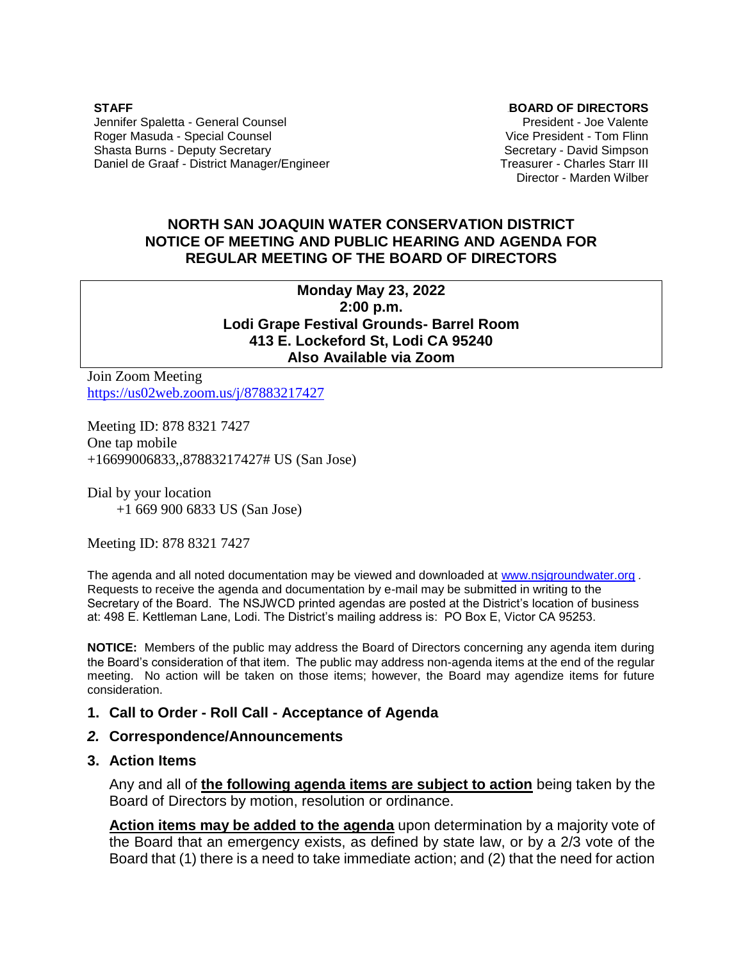**STAFF** Jennifer Spaletta - General Counsel Roger Masuda - Special Counsel Shasta Burns - Deputy Secretary Daniel de Graaf - District Manager/Engineer 0B**BOARD OF DIRECTORS**

President - Joe Valente Vice President - Tom Flinn Secretary - David Simpson Treasurer - Charles Starr III Director - Marden Wilber

## **NORTH SAN JOAQUIN WATER CONSERVATION DISTRICT NOTICE OF MEETING AND PUBLIC HEARING AND AGENDA FOR REGULAR MEETING OF THE BOARD OF DIRECTORS**

**Monday May 23, 2022 2:00 p.m. Lodi Grape Festival Grounds- Barrel Room 413 E. Lockeford St, Lodi CA 95240 Also Available via Zoom**

Join Zoom Meeting <https://us02web.zoom.us/j/87883217427>

Meeting ID: 878 8321 7427 One tap mobile +16699006833,,87883217427# US (San Jose)

Dial by your location +1 669 900 6833 US (San Jose)

Meeting ID: 878 8321 7427

The agenda and all noted documentation may be viewed and downloaded at [www.nsjgroundwater.org](http://www.nsjgroundwater.org/) *.*  Requests to receive the agenda and documentation by e-mail may be submitted in writing to the Secretary of the Board. The NSJWCD printed agendas are posted at the District's location of business at: 498 E. Kettleman Lane, Lodi. The District's mailing address is: PO Box E, Victor CA 95253.

**NOTICE:** Members of the public may address the Board of Directors concerning any agenda item during the Board's consideration of that item. The public may address non-agenda items at the end of the regular meeting. No action will be taken on those items; however, the Board may agendize items for future consideration.

#### **1. Call to Order - Roll Call - Acceptance of Agenda**

#### *2.* **Correspondence/Announcements**

#### **3. Action Items**

Any and all of **the following agenda items are subject to action** being taken by the Board of Directors by motion, resolution or ordinance.

**Action items may be added to the agenda** upon determination by a majority vote of the Board that an emergency exists, as defined by state law, or by a 2/3 vote of the Board that (1) there is a need to take immediate action; and (2) that the need for action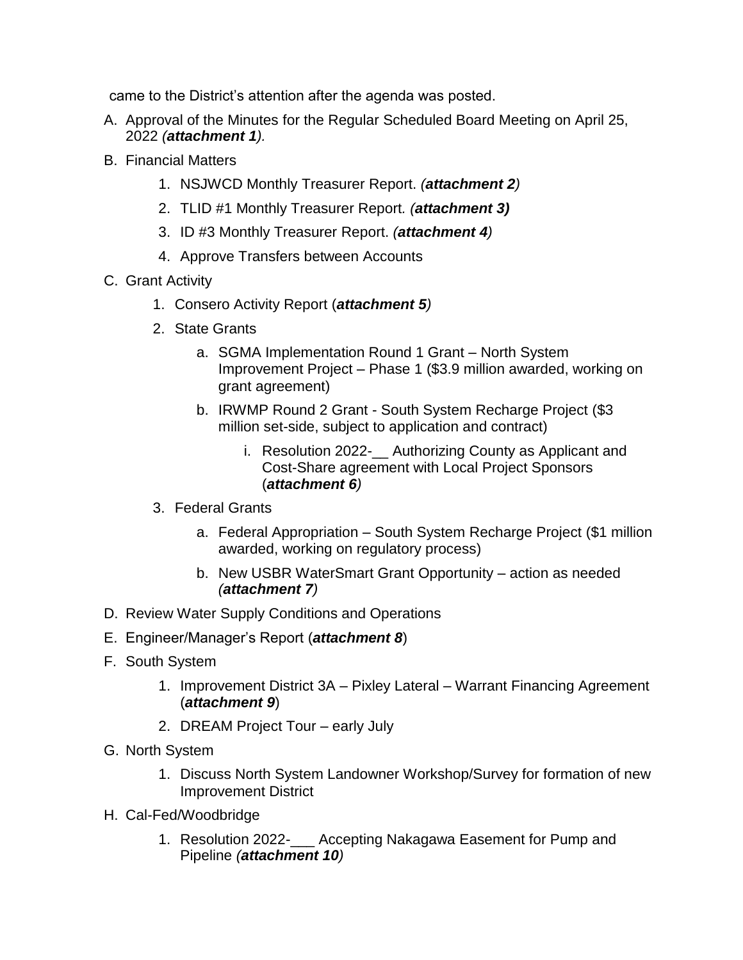came to the District's attention after the agenda was posted.

- A. Approval of the Minutes for the Regular Scheduled Board Meeting on April 25, 2022 *(attachment 1).*
- B. Financial Matters
	- 1. NSJWCD Monthly Treasurer Report. *(attachment 2)*
	- 2. TLID #1 Monthly Treasurer Report*. (attachment 3)*
	- 3. ID #3 Monthly Treasurer Report. *(attachment 4)*
	- 4. Approve Transfers between Accounts
- C. Grant Activity
	- 1. Consero Activity Report (*attachment 5)*
	- 2. State Grants
		- a. SGMA Implementation Round 1 Grant North System Improvement Project – Phase 1 (\$3.9 million awarded, working on grant agreement)
		- b. IRWMP Round 2 Grant South System Recharge Project (\$3 million set-side, subject to application and contract)
			- i. Resolution 2022- Authorizing County as Applicant and Cost-Share agreement with Local Project Sponsors (*attachment 6)*
	- 3. Federal Grants
		- a. Federal Appropriation South System Recharge Project (\$1 million awarded, working on regulatory process)
		- b. New USBR WaterSmart Grant Opportunity action as needed *(attachment 7)*
- D. Review Water Supply Conditions and Operations
- E. Engineer/Manager's Report (*attachment 8*)
- F. South System
	- 1. Improvement District 3A Pixley Lateral Warrant Financing Agreement (*attachment 9*)
	- 2. DREAM Project Tour early July
- G. North System
	- 1. Discuss North System Landowner Workshop/Survey for formation of new Improvement District
- H. Cal-Fed/Woodbridge
	- 1. Resolution 2022-\_\_\_ Accepting Nakagawa Easement for Pump and Pipeline *(attachment 10)*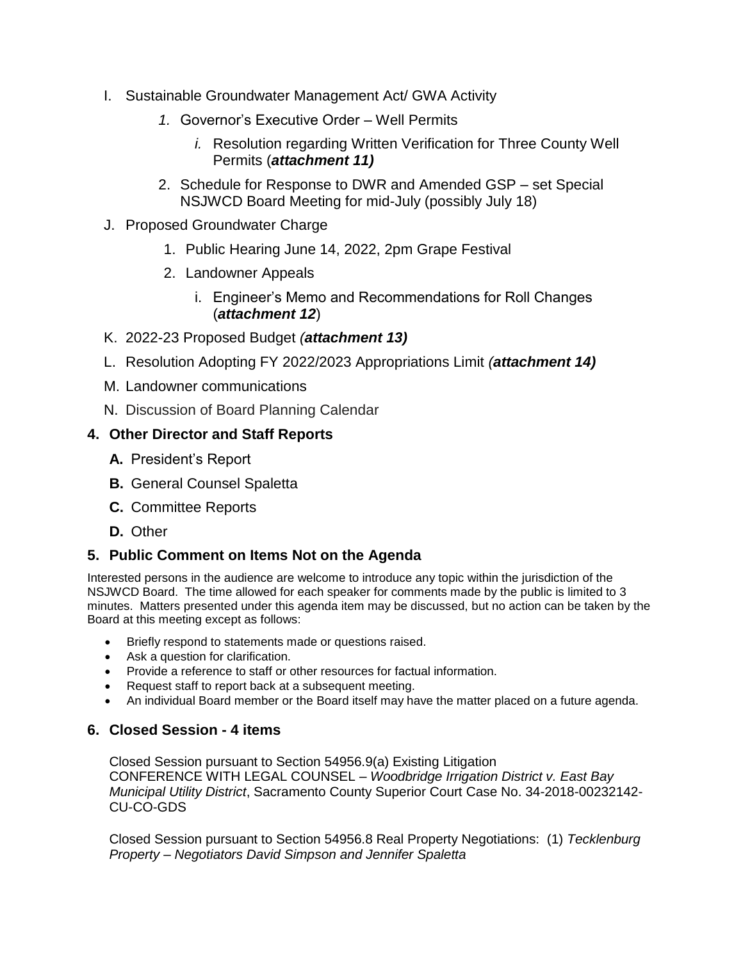- I. Sustainable Groundwater Management Act/ GWA Activity
	- *1.* Governor's Executive Order Well Permits
		- *i.* Resolution regarding Written Verification for Three County Well Permits (*attachment 11)*
	- 2. Schedule for Response to DWR and Amended GSP set Special NSJWCD Board Meeting for mid-July (possibly July 18)
- J. Proposed Groundwater Charge
	- 1. Public Hearing June 14, 2022, 2pm Grape Festival
	- 2. Landowner Appeals
		- i. Engineer's Memo and Recommendations for Roll Changes (*attachment 12*)
- K. 2022-23 Proposed Budget *(attachment 13)*
- L. Resolution Adopting FY 2022/2023 Appropriations Limit *(attachment 14)*
- M. Landowner communications
- N. Discussion of Board Planning Calendar

## **4. Other Director and Staff Reports**

- **A.** President's Report
- **B.** General Counsel Spaletta
- **C.** Committee Reports
- **D.** Other

# **5. Public Comment on Items Not on the Agenda**

Interested persons in the audience are welcome to introduce any topic within the jurisdiction of the NSJWCD Board. The time allowed for each speaker for comments made by the public is limited to 3 minutes. Matters presented under this agenda item may be discussed, but no action can be taken by the Board at this meeting except as follows:

- Briefly respond to statements made or questions raised.
- Ask a question for clarification.
- Provide a reference to staff or other resources for factual information.
- Request staff to report back at a subsequent meeting.
- An individual Board member or the Board itself may have the matter placed on a future agenda.

# **6. Closed Session - 4 items**

Closed Session pursuant to Section 54956.9(a) Existing Litigation CONFERENCE WITH LEGAL COUNSEL – *Woodbridge Irrigation District v. East Bay Municipal Utility District*, Sacramento County Superior Court Case No. 34-2018-00232142- CU-CO-GDS

Closed Session pursuant to Section 54956.8 Real Property Negotiations: (1) *Tecklenburg Property – Negotiators David Simpson and Jennifer Spaletta*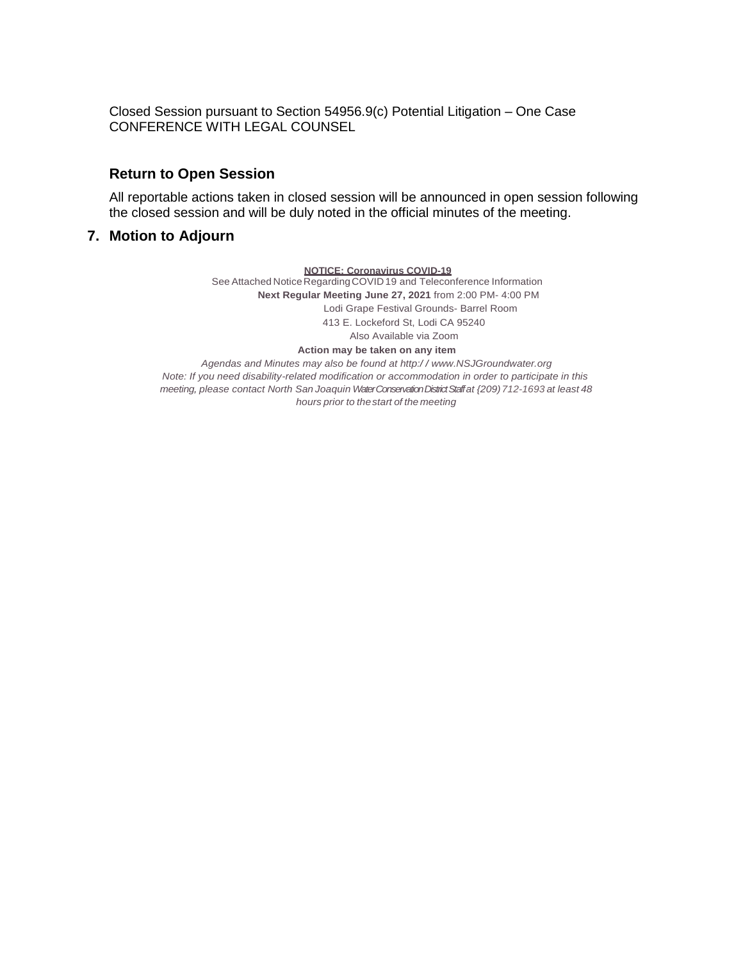Closed Session pursuant to Section 54956.9(c) Potential Litigation – One Case CONFERENCE WITH LEGAL COUNSEL

#### **Return to Open Session**

All reportable actions taken in closed session will be announced in open session following the closed session and will be duly noted in the official minutes of the meeting.

#### **7. Motion to Adjourn**

**NOTICE: Coronavirus COVID-19**

See Attached Notice Regarding COVID 19 and Teleconference Information **Next Regular Meeting June 27, 2021** from 2:00 PM- 4:00 PM Lodi Grape Festival Grounds- Barrel Room 413 E. Lockeford St, Lodi CA 95240 Also Available via Zoom **Action may be taken on any item**

*Agendas and Minutes may also be found at http:/ / www.NSJGroundwater.org Note: If you need disability-related modification or accommodation in order to participate in this meeting, please contact North San Joaquin Water Conservation District Staffat {209)712-1693 at least 48 hours prior to thestart of the meeting*